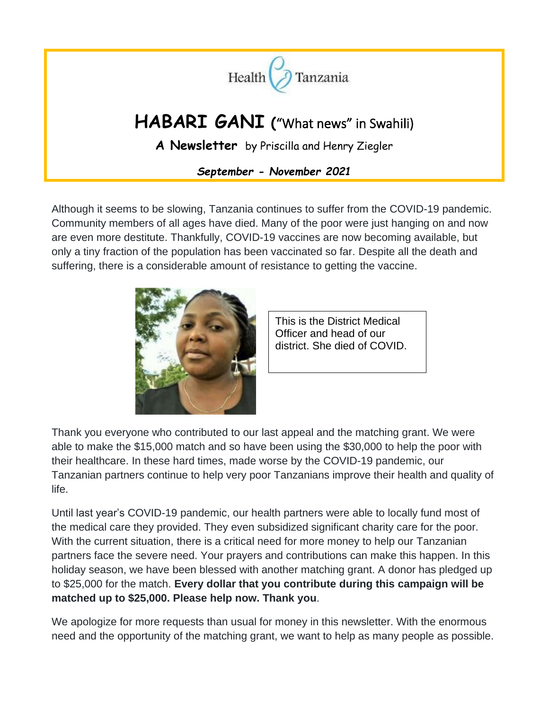

Although it seems to be slowing, Tanzania continues to suffer from the COVID-19 pandemic. Community members of all ages have died. Many of the poor were just hanging on and now are even more destitute. Thankfully, COVID-19 vaccines are now becoming available, but only a tiny fraction of the population has been vaccinated so far. Despite all the death and suffering, there is a considerable amount of resistance to getting the vaccine.



This is the District Medical Officer and head of our district. She died of COVID.

Thank you everyone who contributed to our last appeal and the matching grant. We were able to make the \$15,000 match and so have been using the \$30,000 to help the poor with their healthcare. In these hard times, made worse by the COVID-19 pandemic, our Tanzanian partners continue to help very poor Tanzanians improve their health and quality of life.

Until last year's COVID-19 pandemic, our health partners were able to locally fund most of the medical care they provided. They even subsidized significant charity care for the poor. With the current situation, there is a critical need for more money to help our Tanzanian partners face the severe need. Your prayers and contributions can make this happen. In this holiday season, we have been blessed with another matching grant. A donor has pledged up to \$25,000 for the match. **Every dollar that you contribute during this campaign will be matched up to \$25,000. Please help now. Thank you**.

We apologize for more requests than usual for money in this newsletter. With the enormous need and the opportunity of the matching grant, we want to help as many people as possible.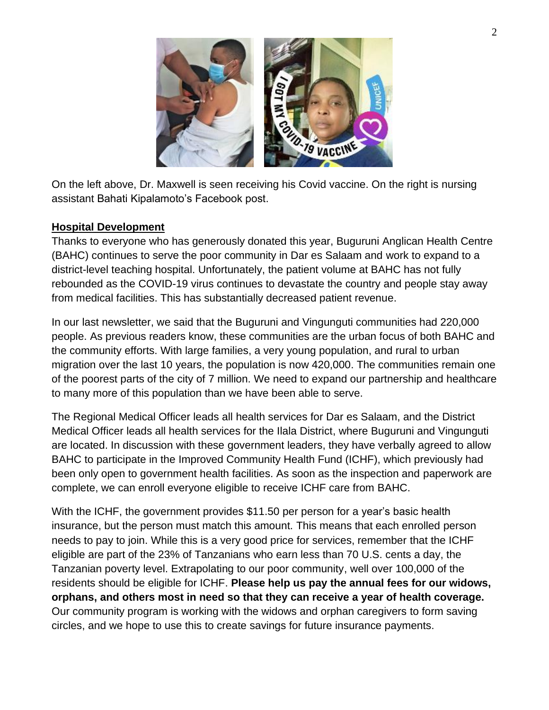

On the left above, Dr. Maxwell is seen receiving his Covid vaccine. On the right is nursing assistant Bahati Kipalamoto's Facebook post.

#### **Hospital Development**

Thanks to everyone who has generously donated this year, Buguruni Anglican Health Centre (BAHC) continues to serve the poor community in Dar es Salaam and work to expand to a district-level teaching hospital. Unfortunately, the patient volume at BAHC has not fully rebounded as the COVID-19 virus continues to devastate the country and people stay away from medical facilities. This has substantially decreased patient revenue.

In our last newsletter, we said that the Buguruni and Vingunguti communities had 220,000 people. As previous readers know, these communities are the urban focus of both BAHC and the community efforts. With large families, a very young population, and rural to urban migration over the last 10 years, the population is now 420,000. The communities remain one of the poorest parts of the city of 7 million. We need to expand our partnership and healthcare to many more of this population than we have been able to serve.

The Regional Medical Officer leads all health services for Dar es Salaam, and the District Medical Officer leads all health services for the Ilala District, where Buguruni and Vingunguti are located. In discussion with these government leaders, they have verbally agreed to allow BAHC to participate in the Improved Community Health Fund (ICHF), which previously had been only open to government health facilities. As soon as the inspection and paperwork are complete, we can enroll everyone eligible to receive ICHF care from BAHC.

With the ICHF, the government provides \$11.50 per person for a year's basic health insurance, but the person must match this amount. This means that each enrolled person needs to pay to join. While this is a very good price for services, remember that the ICHF eligible are part of the 23% of Tanzanians who earn less than 70 U.S. cents a day, the Tanzanian poverty level. Extrapolating to our poor community, well over 100,000 of the residents should be eligible for ICHF. **Please help us pay the annual fees for our widows, orphans, and others most in need so that they can receive a year of health coverage.** Our community program is working with the widows and orphan caregivers to form saving circles, and we hope to use this to create savings for future insurance payments.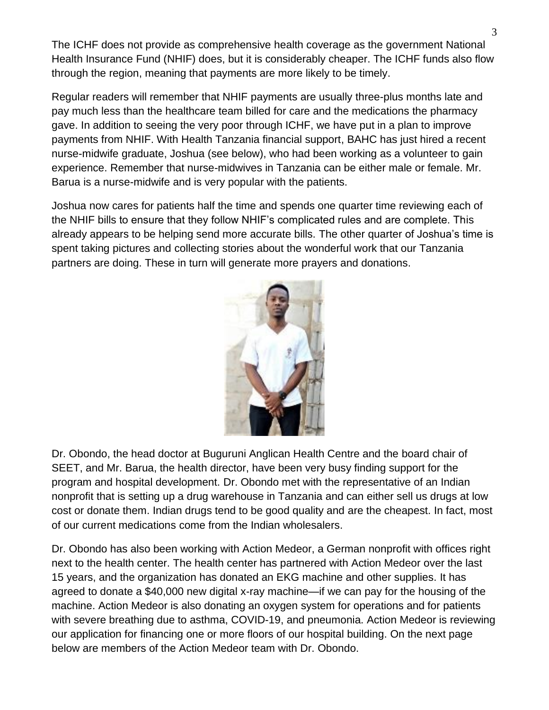The ICHF does not provide as comprehensive health coverage as the government National Health Insurance Fund (NHIF) does, but it is considerably cheaper. The ICHF funds also flow through the region, meaning that payments are more likely to be timely.

Regular readers will remember that NHIF payments are usually three-plus months late and pay much less than the healthcare team billed for care and the medications the pharmacy gave. In addition to seeing the very poor through ICHF, we have put in a plan to improve payments from NHIF. With Health Tanzania financial support, BAHC has just hired a recent nurse-midwife graduate, Joshua (see below), who had been working as a volunteer to gain experience. Remember that nurse-midwives in Tanzania can be either male or female. Mr. Barua is a nurse-midwife and is very popular with the patients.

Joshua now cares for patients half the time and spends one quarter time reviewing each of the NHIF bills to ensure that they follow NHIF's complicated rules and are complete. This already appears to be helping send more accurate bills. The other quarter of Joshua's time is spent taking pictures and collecting stories about the wonderful work that our Tanzania partners are doing. These in turn will generate more prayers and donations.



Dr. Obondo, the head doctor at Buguruni Anglican Health Centre and the board chair of SEET, and Mr. Barua, the health director, have been very busy finding support for the program and hospital development. Dr. Obondo met with the representative of an Indian nonprofit that is setting up a drug warehouse in Tanzania and can either sell us drugs at low cost or donate them. Indian drugs tend to be good quality and are the cheapest. In fact, most of our current medications come from the Indian wholesalers.

Dr. Obondo has also been working with Action Medeor, a German nonprofit with offices right next to the health center. The health center has partnered with Action Medeor over the last 15 years, and the organization has donated an EKG machine and other supplies. It has agreed to donate a \$40,000 new digital x-ray machine—if we can pay for the housing of the machine. Action Medeor is also donating an oxygen system for operations and for patients with severe breathing due to asthma, COVID-19, and pneumonia. Action Medeor is reviewing our application for financing one or more floors of our hospital building. On the next page below are members of the Action Medeor team with Dr. Obondo.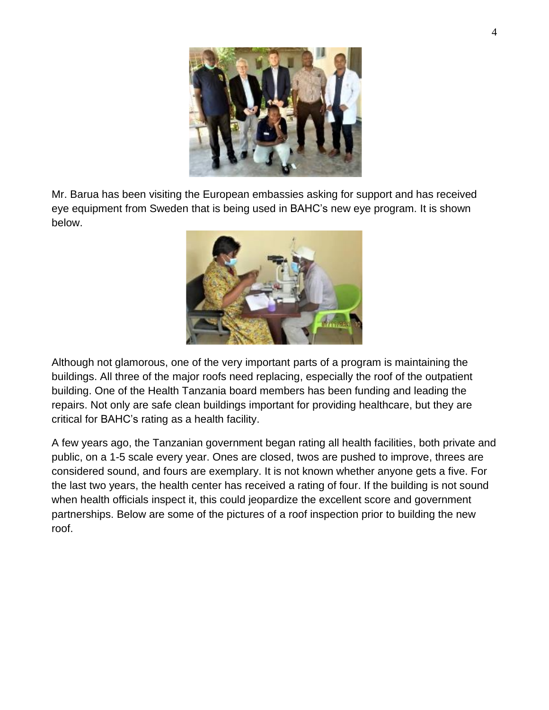

Mr. Barua has been visiting the European embassies asking for support and has received eye equipment from Sweden that is being used in BAHC's new eye program. It is shown below.



Although not glamorous, one of the very important parts of a program is maintaining the buildings. All three of the major roofs need replacing, especially the roof of the outpatient building. One of the Health Tanzania board members has been funding and leading the repairs. Not only are safe clean buildings important for providing healthcare, but they are critical for BAHC's rating as a health facility.

A few years ago, the Tanzanian government began rating all health facilities, both private and public, on a 1-5 scale every year. Ones are closed, twos are pushed to improve, threes are considered sound, and fours are exemplary. It is not known whether anyone gets a five. For the last two years, the health center has received a rating of four. If the building is not sound when health officials inspect it, this could jeopardize the excellent score and government partnerships. Below are some of the pictures of a roof inspection prior to building the new roof.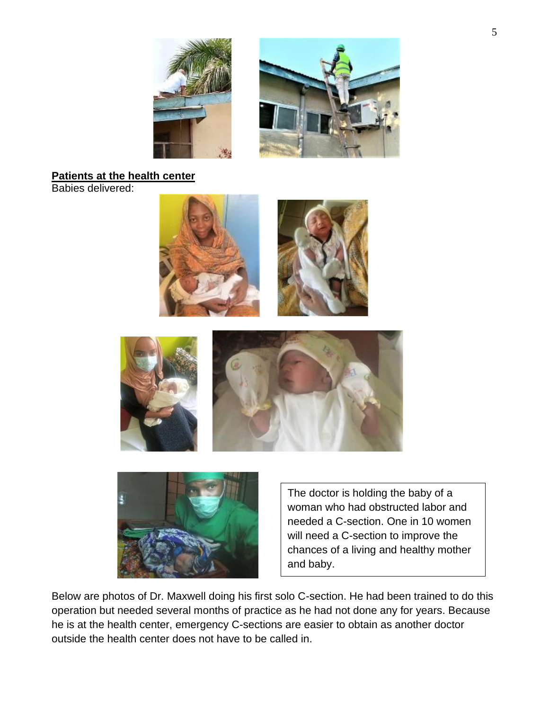

# **Patients at the health center**

Babies delivered:







The doctor is holding the baby of a woman who had obstructed labor and needed a C-section. One in 10 women will need a C-section to improve the chances of a living and healthy mother and baby.

Below are photos of Dr. Maxwell doing his first solo C-section. He had been trained to do this operation but needed several months of practice as he had not done any for years. Because he is at the health center, emergency C-sections are easier to obtain as another doctor outside the health center does not have to be called in.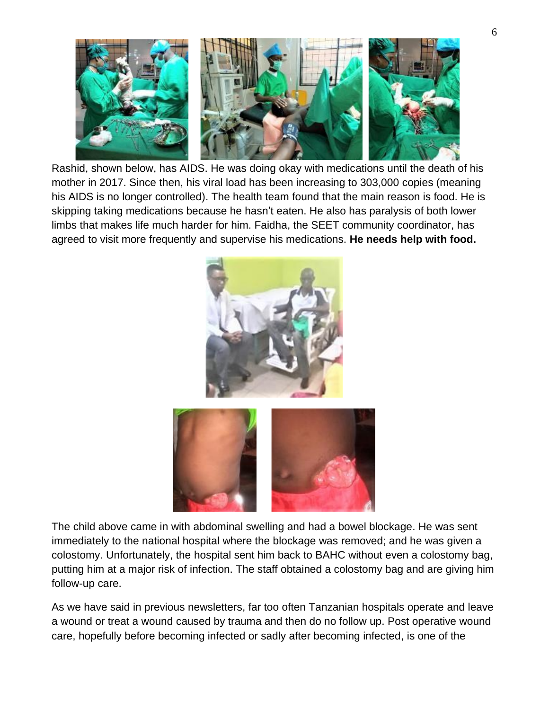

Rashid, shown below, has AIDS. He was doing okay with medications until the death of his mother in 2017. Since then, his viral load has been increasing to 303,000 copies (meaning his AIDS is no longer controlled). The health team found that the main reason is food. He is skipping taking medications because he hasn't eaten. He also has paralysis of both lower limbs that makes life much harder for him. Faidha, the SEET community coordinator, has agreed to visit more frequently and supervise his medications. **He needs help with food.** 





The child above came in with abdominal swelling and had a bowel blockage. He was sent immediately to the national hospital where the blockage was removed; and he was given a colostomy. Unfortunately, the hospital sent him back to BAHC without even a colostomy bag, putting him at a major risk of infection. The staff obtained a colostomy bag and are giving him follow-up care.

As we have said in previous newsletters, far too often Tanzanian hospitals operate and leave a wound or treat a wound caused by trauma and then do no follow up. Post operative wound care, hopefully before becoming infected or sadly after becoming infected, is one of the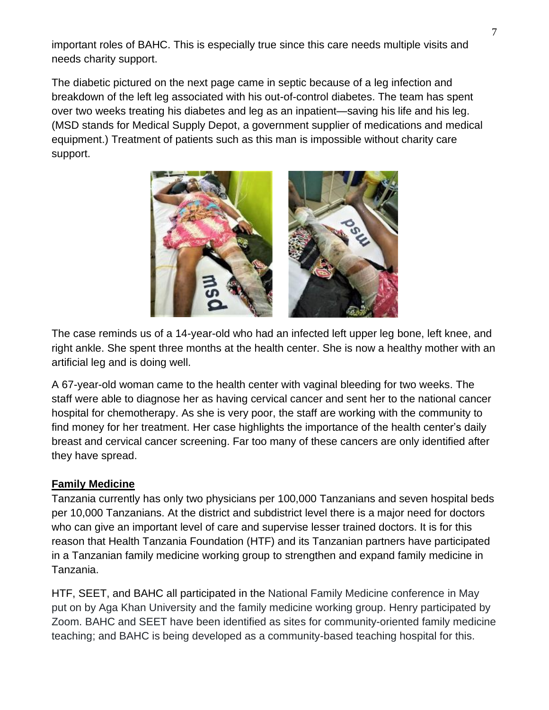important roles of BAHC. This is especially true since this care needs multiple visits and needs charity support.

The diabetic pictured on the next page came in septic because of a leg infection and breakdown of the left leg associated with his out-of-control diabetes. The team has spent over two weeks treating his diabetes and leg as an inpatient—saving his life and his leg. (MSD stands for Medical Supply Depot, a government supplier of medications and medical equipment.) Treatment of patients such as this man is impossible without charity care support.



The case reminds us of a 14-year-old who had an infected left upper leg bone, left knee, and right ankle. She spent three months at the health center. She is now a healthy mother with an artificial leg and is doing well.

A 67-year-old woman came to the health center with vaginal bleeding for two weeks. The staff were able to diagnose her as having cervical cancer and sent her to the national cancer hospital for chemotherapy. As she is very poor, the staff are working with the community to find money for her treatment. Her case highlights the importance of the health center's daily breast and cervical cancer screening. Far too many of these cancers are only identified after they have spread.

### **Family Medicine**

Tanzania currently has only two physicians per 100,000 Tanzanians and seven hospital beds per 10,000 Tanzanians. At the district and subdistrict level there is a major need for doctors who can give an important level of care and supervise lesser trained doctors. It is for this reason that Health Tanzania Foundation (HTF) and its Tanzanian partners have participated in a Tanzanian family medicine working group to strengthen and expand family medicine in Tanzania.

HTF, SEET, and BAHC all participated in the National Family Medicine conference in May put on by Aga Khan University and the family medicine working group. Henry participated by Zoom. BAHC and SEET have been identified as sites for community-oriented family medicine teaching; and BAHC is being developed as a community-based teaching hospital for this.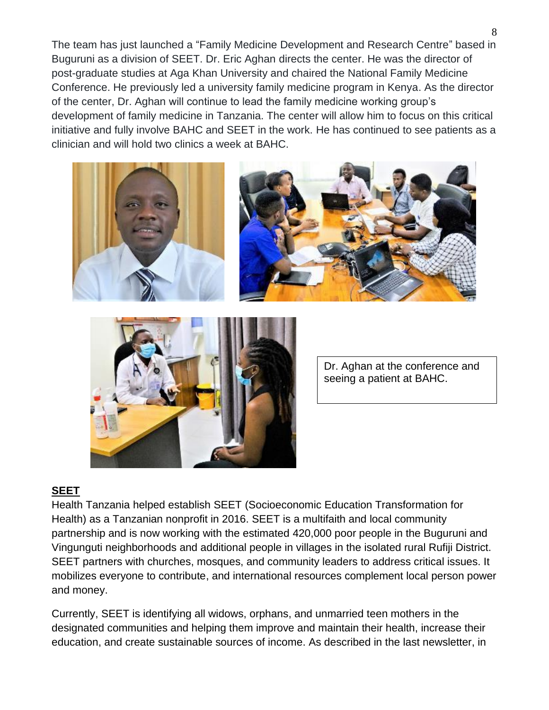The team has just launched a "Family Medicine Development and Research Centre" based in Buguruni as a division of SEET. Dr. Eric Aghan directs the center. He was the director of post-graduate studies at Aga Khan University and chaired the National Family Medicine Conference. He previously led a university family medicine program in Kenya. As the director of the center, Dr. Aghan will continue to lead the family medicine working group's development of family medicine in Tanzania. The center will allow him to focus on this critical initiative and fully involve BAHC and SEET in the work. He has continued to see patients as a clinician and will hold two clinics a week at BAHC.







Dr. Aghan at the conference and seeing a patient at BAHC.

### **SEET**

Health Tanzania helped establish SEET (Socioeconomic Education Transformation for Health) as a Tanzanian nonprofit in 2016. SEET is a multifaith and local community partnership and is now working with the estimated 420,000 poor people in the Buguruni and Vingunguti neighborhoods and additional people in villages in the isolated rural Rufiji District. SEET partners with churches, mosques, and community leaders to address critical issues. It mobilizes everyone to contribute, and international resources complement local person power and money.

Currently, SEET is identifying all widows, orphans, and unmarried teen mothers in the designated communities and helping them improve and maintain their health, increase their education, and create sustainable sources of income. As described in the last newsletter, in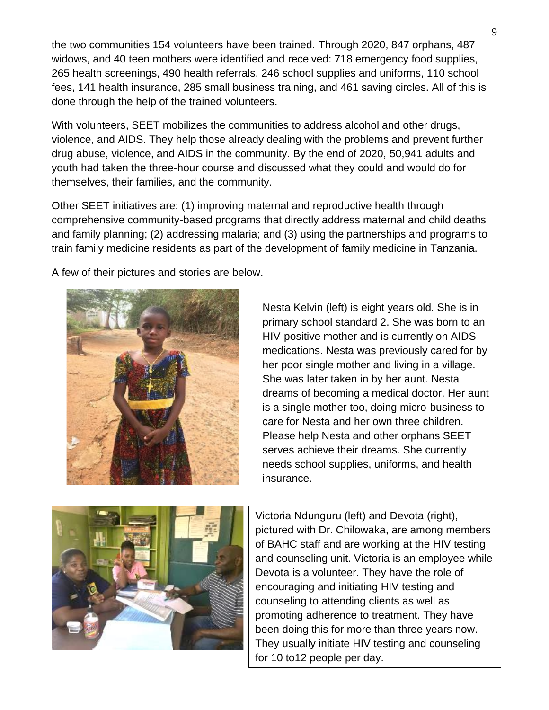the two communities 154 volunteers have been trained. Through 2020, 847 orphans, 487 widows, and 40 teen mothers were identified and received: 718 emergency food supplies, 265 health screenings, 490 health referrals, 246 school supplies and uniforms, 110 school fees, 141 health insurance, 285 small business training, and 461 saving circles. All of this is done through the help of the trained volunteers.

With volunteers, SEET mobilizes the communities to address alcohol and other drugs, violence, and AIDS. They help those already dealing with the problems and prevent further drug abuse, violence, and AIDS in the community. By the end of 2020, 50,941 adults and youth had taken the three-hour course and discussed what they could and would do for themselves, their families, and the community.

Other SEET initiatives are: (1) improving maternal and reproductive health through comprehensive community-based programs that directly address maternal and child deaths and family planning; (2) addressing malaria; and (3) using the partnerships and programs to train family medicine residents as part of the development of family medicine in Tanzania.

A few of their pictures and stories are below.



Nesta Kelvin (left) is eight years old. She is in primary school standard 2. She was born to an HIV-positive mother and is currently on AIDS medications. Nesta was previously cared for by her poor single mother and living in a village. She was later taken in by her aunt. Nesta dreams of becoming a medical doctor. Her aunt is a single mother too, doing micro-business to care for Nesta and her own three children. Please help Nesta and other orphans SEET serves achieve their dreams. She currently needs school supplies, uniforms, and health insurance.



Victoria Ndunguru (left) and Devota (right), pictured with Dr. Chilowaka, are among members of BAHC staff and are working at the HIV testing and counseling unit. Victoria is an employee while Devota is a volunteer. They have the role of encouraging and initiating HIV testing and counseling to attending clients as well as promoting adherence to treatment. They have been doing this for more than three years now. They usually initiate HIV testing and counseling for 10 to12 people per day.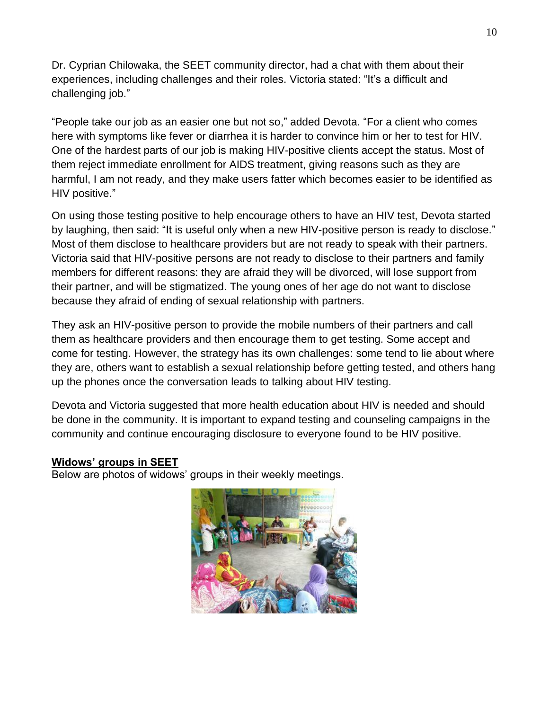Dr. Cyprian Chilowaka, the SEET community director, had a chat with them about their experiences, including challenges and their roles. Victoria stated: "It's a difficult and challenging job."

"People take our job as an easier one but not so," added Devota. "For a client who comes here with symptoms like fever or diarrhea it is harder to convince him or her to test for HIV. One of the hardest parts of our job is making HIV-positive clients accept the status. Most of them reject immediate enrollment for AIDS treatment, giving reasons such as they are harmful, I am not ready, and they make users fatter which becomes easier to be identified as HIV positive."

On using those testing positive to help encourage others to have an HIV test, Devota started by laughing, then said: "It is useful only when a new HIV-positive person is ready to disclose." Most of them disclose to healthcare providers but are not ready to speak with their partners. Victoria said that HIV-positive persons are not ready to disclose to their partners and family members for different reasons: they are afraid they will be divorced, will lose support from their partner, and will be stigmatized. The young ones of her age do not want to disclose because they afraid of ending of sexual relationship with partners.

They ask an HIV-positive person to provide the mobile numbers of their partners and call them as healthcare providers and then encourage them to get testing. Some accept and come for testing. However, the strategy has its own challenges: some tend to lie about where they are, others want to establish a sexual relationship before getting tested, and others hang up the phones once the conversation leads to talking about HIV testing.

Devota and Victoria suggested that more health education about HIV is needed and should be done in the community. It is important to expand testing and counseling campaigns in the community and continue encouraging disclosure to everyone found to be HIV positive.

#### **Widows' groups in SEET**

Below are photos of widows' groups in their weekly meetings.

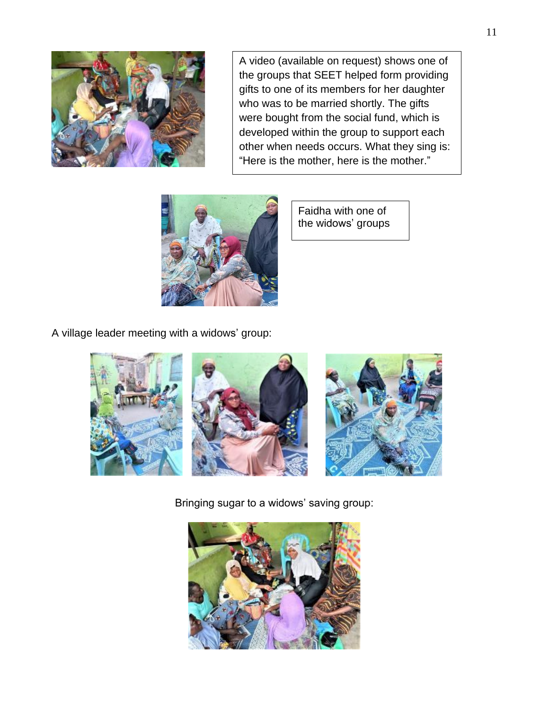

A video (available on request) shows one of the groups that SEET helped form providing gifts to one of its members for her daughter who was to be married shortly. The gifts were bought from the social fund, which is developed within the group to support each other when needs occurs. What they sing is: "Here is the mother, here is the mother."



Faidha with one of the widows' groups

A village leader meeting with a widows' group:



Bringing sugar to a widows' saving group:

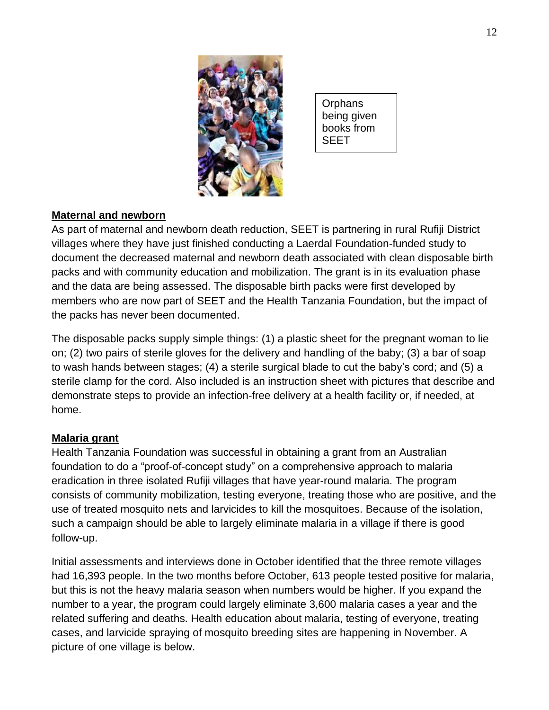

**Orphans** being given books from SEET

### **Maternal and newborn**

As part of maternal and newborn death reduction, SEET is partnering in rural Rufiji District villages where they have just finished conducting a Laerdal Foundation-funded study to document the decreased maternal and newborn death associated with clean disposable birth packs and with community education and mobilization. The grant is in its evaluation phase and the data are being assessed. The disposable birth packs were first developed by members who are now part of SEET and the Health Tanzania Foundation, but the impact of the packs has never been documented.

The disposable packs supply simple things: (1) a plastic sheet for the pregnant woman to lie on; (2) two pairs of sterile gloves for the delivery and handling of the baby; (3) a bar of soap to wash hands between stages; (4) a sterile surgical blade to cut the baby's cord; and (5) a sterile clamp for the cord. Also included is an instruction sheet with pictures that describe and demonstrate steps to provide an infection-free delivery at a health facility or, if needed, at home.

#### **Malaria grant**

Health Tanzania Foundation was successful in obtaining a grant from an Australian foundation to do a "proof-of-concept study" on a comprehensive approach to malaria eradication in three isolated Rufiji villages that have year-round malaria. The program consists of community mobilization, testing everyone, treating those who are positive, and the use of treated mosquito nets and larvicides to kill the mosquitoes. Because of the isolation, such a campaign should be able to largely eliminate malaria in a village if there is good follow-up.

Initial assessments and interviews done in October identified that the three remote villages had 16,393 people. In the two months before October, 613 people tested positive for malaria, but this is not the heavy malaria season when numbers would be higher. If you expand the number to a year, the program could largely eliminate 3,600 malaria cases a year and the related suffering and deaths. Health education about malaria, testing of everyone, treating cases, and larvicide spraying of mosquito breeding sites are happening in November. A picture of one village is below.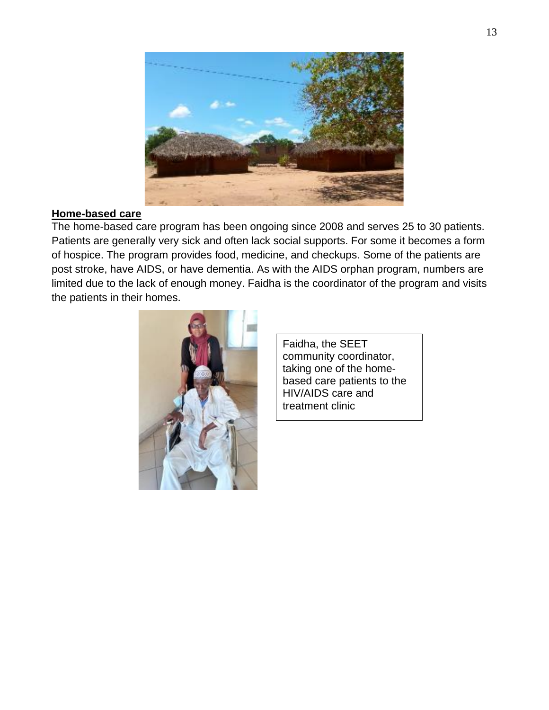

#### **Home-based care**

The home-based care program has been ongoing since 2008 and serves 25 to 30 patients. Patients are generally very sick and often lack social supports. For some it becomes a form of hospice. The program provides food, medicine, and checkups. Some of the patients are post stroke, have AIDS, or have dementia. As with the AIDS orphan program, numbers are limited due to the lack of enough money. Faidha is the coordinator of the program and visits the patients in their homes.



Faidha, the SEET community coordinator, taking one of the homebased care patients to the HIV/AIDS care and treatment clinic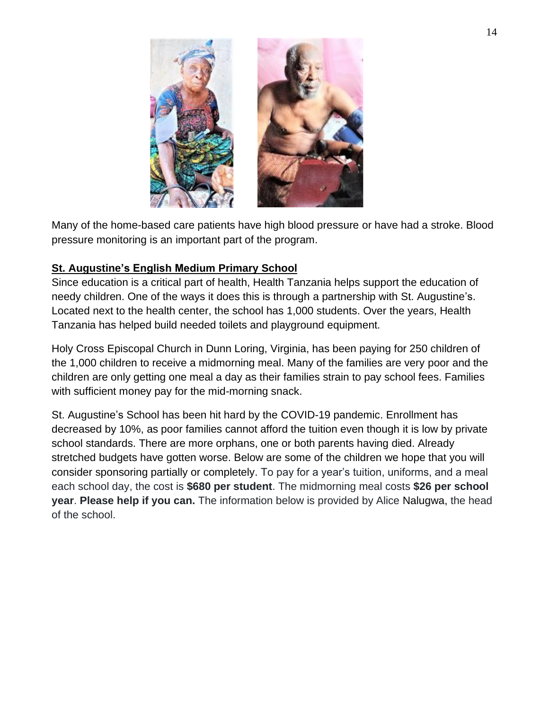

Many of the home-based care patients have high blood pressure or have had a stroke. Blood pressure monitoring is an important part of the program.

# **St. Augustine's English Medium Primary School**

Since education is a critical part of health, Health Tanzania helps support the education of needy children. One of the ways it does this is through a partnership with St. Augustine's. Located next to the health center, the school has 1,000 students. Over the years, Health Tanzania has helped build needed toilets and playground equipment.

Holy Cross Episcopal Church in Dunn Loring, Virginia, has been paying for 250 children of the 1,000 children to receive a midmorning meal. Many of the families are very poor and the children are only getting one meal a day as their families strain to pay school fees. Families with sufficient money pay for the mid-morning snack.

St. Augustine's School has been hit hard by the COVID-19 pandemic. Enrollment has decreased by 10%, as poor families cannot afford the tuition even though it is low by private school standards. There are more orphans, one or both parents having died. Already stretched budgets have gotten worse. Below are some of the children we hope that you will consider sponsoring partially or completely. To pay for a year's tuition, uniforms, and a meal each school day, the cost is **\$680 per student**. The midmorning meal costs **\$26 per school year**. **Please help if you can.** The information below is provided by Alice Nalugwa, the head of the school.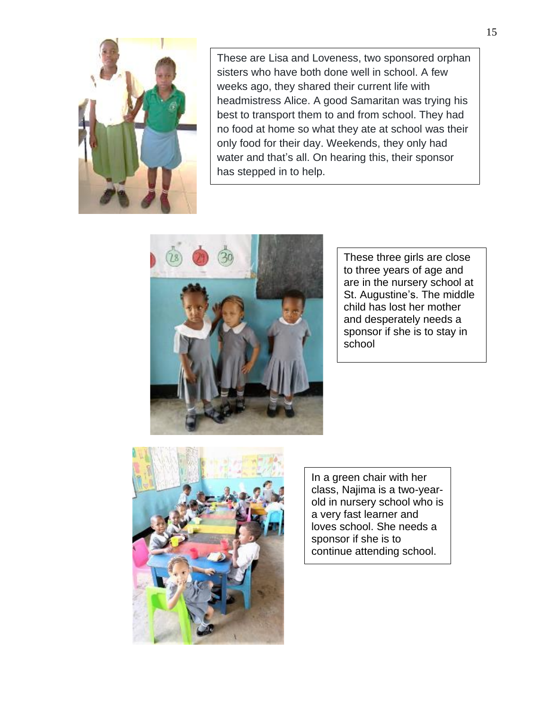

These are Lisa and Loveness, two sponsored orphan sisters who have both done well in school. A few weeks ago, they shared their current life with headmistress Alice. A good Samaritan was trying his best to transport them to and from school. They had no food at home so what they ate at school was their only food for their day. Weekends, they only had water and that's all. On hearing this, their sponsor has stepped in to help.



These three girls are close to three years of age and are in the nursery school at St. Augustine's. The middle child has lost her mother and desperately needs a sponsor if she is to stay in school



In a green chair with her class, Najima is a two-yearold in nursery school who is a very fast learner and loves school. She needs a sponsor if she is to continue attending school.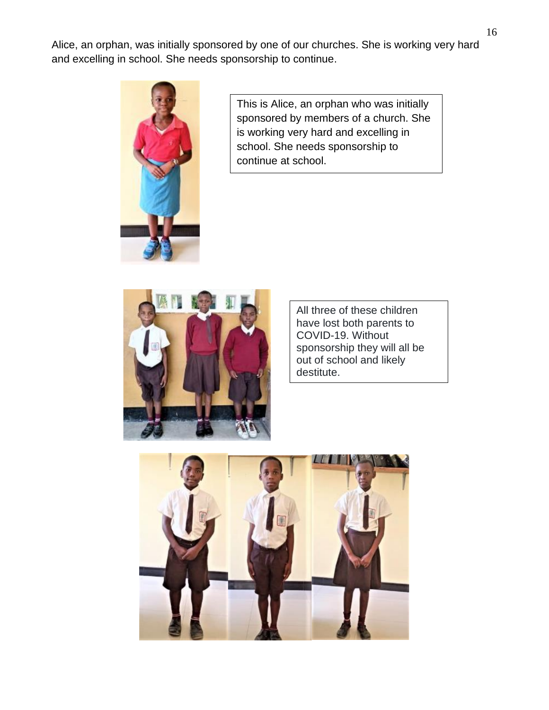Alice, an orphan, was initially sponsored by one of our churches. She is working very hard and excelling in school. She needs sponsorship to continue.



This is Alice, an orphan who was initially sponsored by members of a church. She is working very hard and excelling in school. She needs sponsorship to continue at school.



All three of these children have lost both parents to COVID-19. Without sponsorship they will all be out of school and likely destitute.

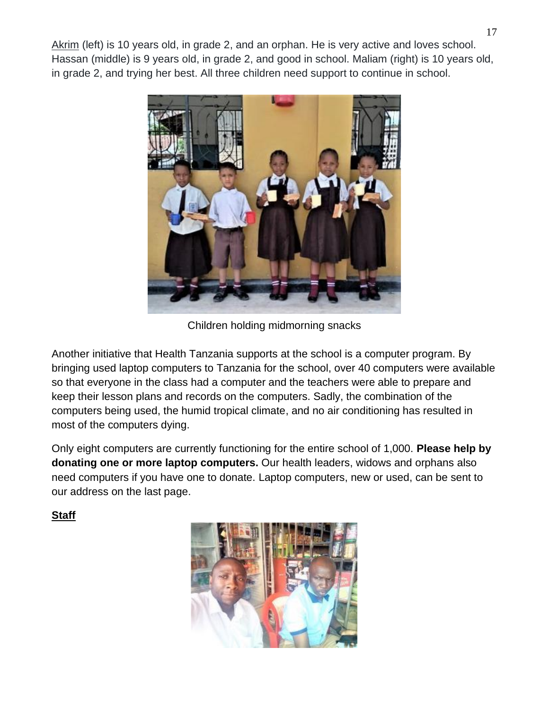Akrim (left) is 10 years old, in grade 2, and an orphan. He is very active and loves school. Hassan (middle) is 9 years old, in grade 2, and good in school. Maliam (right) is 10 years old, in grade 2, and trying her best. All three children need support to continue in school.



Children holding midmorning snacks

Another initiative that Health Tanzania supports at the school is a computer program. By bringing used laptop computers to Tanzania for the school, over 40 computers were available so that everyone in the class had a computer and the teachers were able to prepare and keep their lesson plans and records on the computers. Sadly, the combination of the computers being used, the humid tropical climate, and no air conditioning has resulted in most of the computers dying.

Only eight computers are currently functioning for the entire school of 1,000. **Please help by donating one or more laptop computers.** Our health leaders, widows and orphans also need computers if you have one to donate. Laptop computers, new or used, can be sent to our address on the last page.

**Staff**

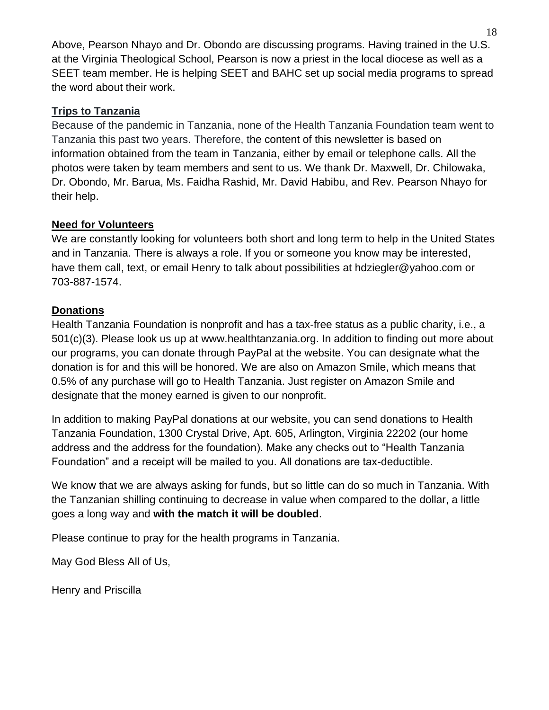Above, Pearson Nhayo and Dr. Obondo are discussing programs. Having trained in the U.S. at the Virginia Theological School, Pearson is now a priest in the local diocese as well as a SEET team member. He is helping SEET and BAHC set up social media programs to spread the word about their work.

# **Trips to Tanzania**

Because of the pandemic in Tanzania, none of the Health Tanzania Foundation team went to Tanzania this past two years. Therefore, the content of this newsletter is based on information obtained from the team in Tanzania, either by email or telephone calls. All the photos were taken by team members and sent to us. We thank Dr. Maxwell, Dr. Chilowaka, Dr. Obondo, Mr. Barua, Ms. Faidha Rashid, Mr. David Habibu, and Rev. Pearson Nhayo for their help.

# **Need for Volunteers**

We are constantly looking for volunteers both short and long term to help in the United States and in Tanzania. There is always a role. If you or someone you know may be interested, have them call, text, or email Henry to talk about possibilities at hdziegler@yahoo.com or 703-887-1574.

# **Donations**

Health Tanzania Foundation is nonprofit and has a tax-free status as a public charity, i.e., a 501(c)(3). Please look us up at [www.healthtanzania.org.](http://www.healthtanzania.org/) In addition to finding out more about our programs, you can donate through PayPal at the website. You can designate what the donation is for and this will be honored. We are also on Amazon Smile, which means that 0.5% of any purchase will go to Health Tanzania. Just register on Amazon Smile and designate that the money earned is given to our nonprofit.

In addition to making PayPal donations at our website, you can send donations to Health Tanzania Foundation, 1300 Crystal Drive, Apt. 605, Arlington, Virginia 22202 (our home address and the address for the foundation). Make any checks out to "Health Tanzania Foundation" and a receipt will be mailed to you. All donations are tax-deductible.

We know that we are always asking for funds, but so little can do so much in Tanzania. With the Tanzanian shilling continuing to decrease in value when compared to the dollar, a little goes a long way and **with the match it will be doubled**.

Please continue to pray for the health programs in Tanzania.

May God Bless All of Us,

Henry and Priscilla